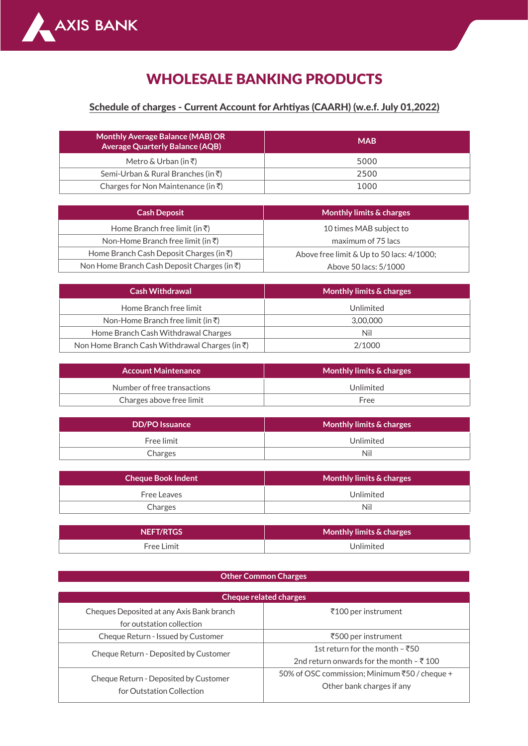

## WHOLESALE BANKING PRODUCTS

## Schedule of charges - Current Account for Arhtiyas (CAARH) (w.e.f. July 01,2022)

| <b>Monthly Average Balance (MAB) OR</b><br><b>Average Quarterly Balance (AQB)</b> | <b>MAB</b> |
|-----------------------------------------------------------------------------------|------------|
| Metro & Urban (in ₹)                                                              | 5000       |
| Semi-Urban & Rural Branches (in ₹)                                                | 2500       |
| Charges for Non Maintenance (in ₹)                                                | 1000       |

| <b>Cash Deposit</b>                                 | Monthly limits & charges                  |
|-----------------------------------------------------|-------------------------------------------|
| Home Branch free limit (in $\bar{z}$ )              | 10 times MAB subject to                   |
| Non-Home Branch free limit (in ₹)                   | maximum of 75 lacs                        |
| Home Branch Cash Deposit Charges (in $\bar{\tau}$ ) | Above free limit & Up to 50 lacs: 4/1000; |
| Non Home Branch Cash Deposit Charges (in ₹)         | Above 50 lacs: 5/1000                     |

| <b>Cash Withdrawal</b>                         | Monthly limits & charges |
|------------------------------------------------|--------------------------|
| Home Branch free limit                         | Unlimited                |
| Non-Home Branch free limit (in $\bar{z}$ )     | 3.00.000                 |
| Home Branch Cash Withdrawal Charges            | Nil                      |
| Non Home Branch Cash Withdrawal Charges (in ₹) | 2/1000                   |

| <b>Account Maintenance</b>  | Monthly limits & charges ' |
|-----------------------------|----------------------------|
| Number of free transactions | Unlimited                  |
| Charges above free limit    | Free                       |

| <b>DD/PO</b> Issuance | Monthly limits & charges |
|-----------------------|--------------------------|
| Free limit            | Unlimited                |
| Charges               | Nil                      |

| Cheque Book Indent | Monthly limits & charges |
|--------------------|--------------------------|
| Free Leaves        | Unlimited                |
| Charges            | Nil                      |
|                    |                          |

| NEFT/RTGS  | Monthly limits & charges |
|------------|--------------------------|
| Free Limit | l Inlimited              |

## **Other Common Charges**

| <b>Cheque related charges</b>                                          |                                                                                       |
|------------------------------------------------------------------------|---------------------------------------------------------------------------------------|
| Cheques Deposited at any Axis Bank branch<br>for outstation collection | ₹100 per instrument                                                                   |
| Cheque Return - Issued by Customer                                     | ₹500 per instrument                                                                   |
| Cheque Return - Deposited by Customer                                  | 1st return for the month $-550$<br>2nd return onwards for the month $-\bar{\tau}$ 100 |
| Cheque Return - Deposited by Customer<br>for Outstation Collection     | 50% of OSC commission; Minimum ₹50 / cheque +<br>Other bank charges if any            |